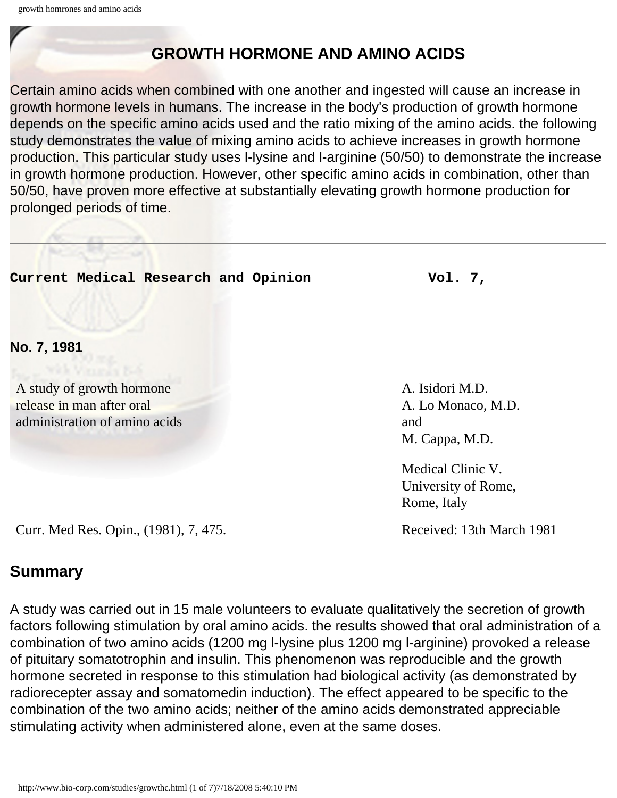## **GROWTH HORMONE AND AMINO ACIDS**

Certain amino acids when combined with one another and ingested will cause an increase in growth hormone levels in humans. The increase in the body's production of growth hormone depends on the specific amino acids used and the ratio mixing of the amino acids. the following study demonstrates the value of mixing amino acids to achieve increases in growth hormone production. This particular study uses l-lysine and l-arginine (50/50) to demonstrate the increase in growth hormone production. However, other specific amino acids in combination, other than 50/50, have proven more effective at substantially elevating growth hormone production for prolonged periods of time.

| Current Medical Research and Opinion                                                    | Vol. $7,$                                                      |  |  |
|-----------------------------------------------------------------------------------------|----------------------------------------------------------------|--|--|
| No. 7, 1981                                                                             |                                                                |  |  |
| A study of growth hormone<br>release in man after oral<br>administration of amino acids | A. Isidori M.D.<br>A. Lo Monaco, M.D.<br>and<br>M. Cappa, M.D. |  |  |
|                                                                                         | Medical Clinic V.<br>University of Rome,<br>Rome, Italy        |  |  |
| Curr. Med Res. Opin., (1981), 7, 475.                                                   | Received: 13th March 1981                                      |  |  |
| <b>Summary</b>                                                                          |                                                                |  |  |

A study was carried out in 15 male volunteers to evaluate qualitatively the secretion of growth factors following stimulation by oral amino acids. the results showed that oral administration of a combination of two amino acids (1200 mg l-lysine plus 1200 mg l-arginine) provoked a release of pituitary somatotrophin and insulin. This phenomenon was reproducible and the growth hormone secreted in response to this stimulation had biological activity (as demonstrated by radiorecepter assay and somatomedin induction). The effect appeared to be specific to the combination of the two amino acids; neither of the amino acids demonstrated appreciable stimulating activity when administered alone, even at the same doses.

http://www.bio-corp.com/studies/growthc.html (1 of 7)7/18/2008 5:40:10 PM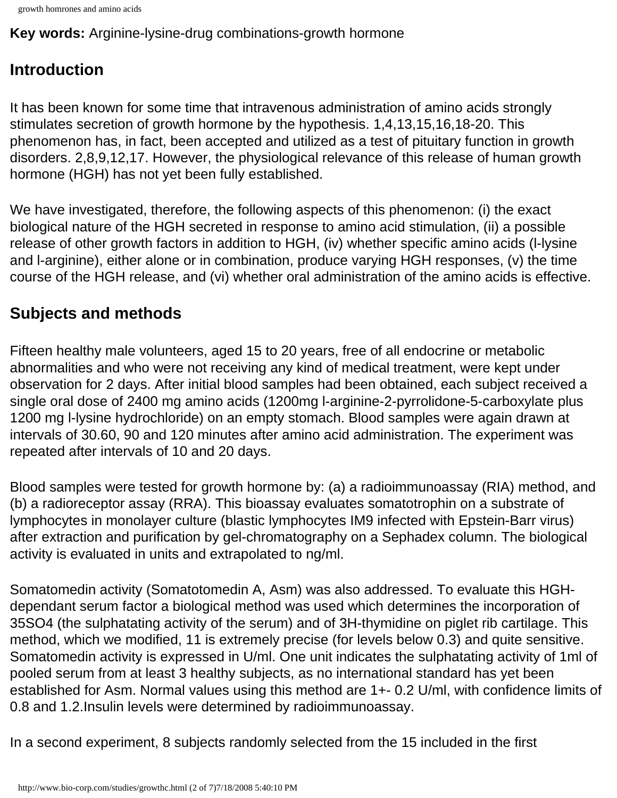```
growth homrones and amino acids
```
**Key words:** Arginine-lysine-drug combinations-growth hormone

# **Introduction**

It has been known for some time that intravenous administration of amino acids strongly stimulates secretion of growth hormone by the hypothesis. 1,4,13,15,16,18-20. This phenomenon has, in fact, been accepted and utilized as a test of pituitary function in growth disorders. 2,8,9,12,17. However, the physiological relevance of this release of human growth hormone (HGH) has not yet been fully established.

We have investigated, therefore, the following aspects of this phenomenon: (i) the exact biological nature of the HGH secreted in response to amino acid stimulation, (ii) a possible release of other growth factors in addition to HGH, (iv) whether specific amino acids (l-lysine and l-arginine), either alone or in combination, produce varying HGH responses, (v) the time course of the HGH release, and (vi) whether oral administration of the amino acids is effective.

# **Subjects and methods**

Fifteen healthy male volunteers, aged 15 to 20 years, free of all endocrine or metabolic abnormalities and who were not receiving any kind of medical treatment, were kept under observation for 2 days. After initial blood samples had been obtained, each subject received a single oral dose of 2400 mg amino acids (1200mg l-arginine-2-pyrrolidone-5-carboxylate plus 1200 mg l-lysine hydrochloride) on an empty stomach. Blood samples were again drawn at intervals of 30.60, 90 and 120 minutes after amino acid administration. The experiment was repeated after intervals of 10 and 20 days.

Blood samples were tested for growth hormone by: (a) a radioimmunoassay (RIA) method, and (b) a radioreceptor assay (RRA). This bioassay evaluates somatotrophin on a substrate of lymphocytes in monolayer culture (blastic lymphocytes IM9 infected with Epstein-Barr virus) after extraction and purification by gel-chromatography on a Sephadex column. The biological activity is evaluated in units and extrapolated to ng/ml.

Somatomedin activity (Somatotomedin A, Asm) was also addressed. To evaluate this HGHdependant serum factor a biological method was used which determines the incorporation of 35SO4 (the sulphatating activity of the serum) and of 3H-thymidine on piglet rib cartilage. This method, which we modified, 11 is extremely precise (for levels below 0.3) and quite sensitive. Somatomedin activity is expressed in U/ml. One unit indicates the sulphatating activity of 1ml of pooled serum from at least 3 healthy subjects, as no international standard has yet been established for Asm. Normal values using this method are 1+- 0.2 U/ml, with confidence limits of 0.8 and 1.2.Insulin levels were determined by radioimmunoassay.

In a second experiment, 8 subjects randomly selected from the 15 included in the first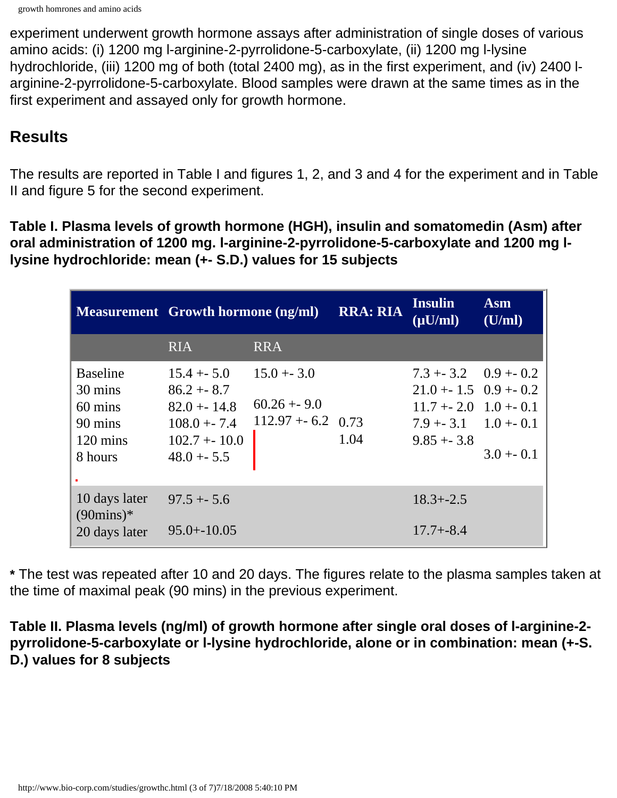experiment underwent growth hormone assays after administration of single doses of various amino acids: (i) 1200 mg l-arginine-2-pyrrolidone-5-carboxylate, (ii) 1200 mg l-lysine hydrochloride, (iii) 1200 mg of both (total 2400 mg), as in the first experiment, and (iv) 2400 larginine-2-pyrrolidone-5-carboxylate. Blood samples were drawn at the same times as in the first experiment and assayed only for growth hormone.

### **Results**

The results are reported in Table I and figures 1, 2, and 3 and 4 for the experiment and in Table II and figure 5 for the second experiment.

**Table I. Plasma levels of growth hormone (HGH), insulin and somatomedin (Asm) after oral administration of 1200 mg. l-arginine-2-pyrrolidone-5-carboxylate and 1200 mg llysine hydrochloride: mean (+- S.D.) values for 15 subjects**

|                                                                                   | <b>Measurement</b> Growth hormone (ng/ml)                                                           |                                                       | <b>RRA: RIA</b> | <b>Insulin</b><br>$(\mu U/ml)$                                                                                                   | <b>Asm</b><br>(U/ml) |
|-----------------------------------------------------------------------------------|-----------------------------------------------------------------------------------------------------|-------------------------------------------------------|-----------------|----------------------------------------------------------------------------------------------------------------------------------|----------------------|
|                                                                                   | <b>RIA</b>                                                                                          | <b>RRA</b>                                            |                 |                                                                                                                                  |                      |
| <b>Baseline</b><br>30 mins<br>60 mins<br>90 mins<br>$120 \text{ mins}$<br>8 hours | $15.4 + 5.0$<br>$86.2 + - 8.7$<br>$82.0 + 14.8$<br>$108.0 + -7.4$<br>$102.7 + 10.0$<br>$48.0 + 5.5$ | $15.0 + -3.0$<br>$60.26 + 9.0$<br>$112.97 + 6.2$ 0.73 | 1.04            | $7.3 + 3.2$ 0.9 + 0.2<br>$21.0 + 1.5 \quad 0.9 + 0.2$<br>$11.7 + 2.0$ $1.0 + 0.1$<br>$7.9 + 3.1 \quad 1.0 + 0.1$<br>$9.85 + 3.8$ | $3.0 + 0.1$          |
| 10 days later<br>$(90 \text{mins})^*$<br>20 days later                            | $97.5 + 5.6$<br>$95.0 + -10.05$                                                                     |                                                       |                 | $18.3 + -2.5$<br>$17.7 + -8.4$                                                                                                   |                      |

**\*** The test was repeated after 10 and 20 days. The figures relate to the plasma samples taken at the time of maximal peak (90 mins) in the previous experiment.

**Table II. Plasma levels (ng/ml) of growth hormone after single oral doses of l-arginine-2 pyrrolidone-5-carboxylate or l-lysine hydrochloride, alone or in combination: mean (+-S. D.) values for 8 subjects**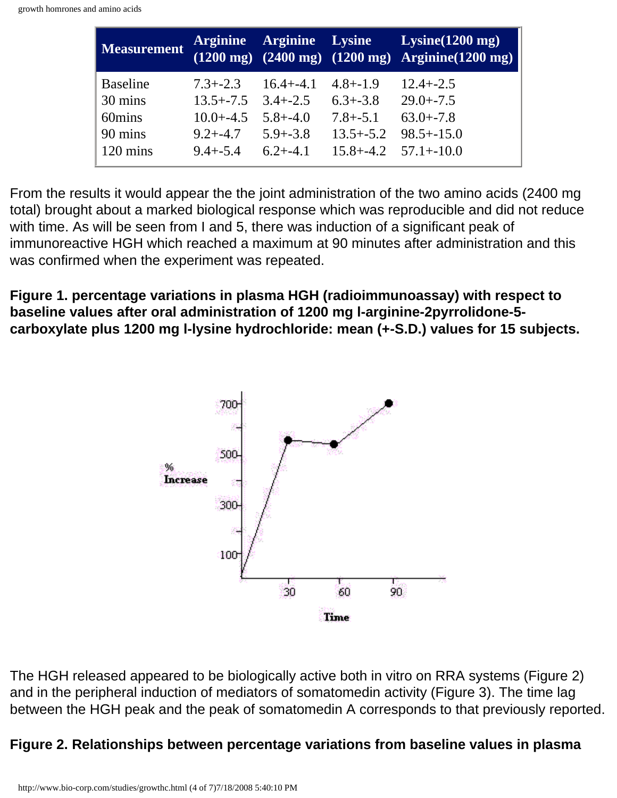| <b>Measurement</b>                                                    |                                                                                                                       |                               |                                              | Arginine Arginine Lysine Lysine (1200 mg)<br>$(1200 \text{ mg})$ $(2400 \text{ mg})$ $(1200 \text{ mg})$ Arginine $(1200 \text{ mg})$ |
|-----------------------------------------------------------------------|-----------------------------------------------------------------------------------------------------------------------|-------------------------------|----------------------------------------------|---------------------------------------------------------------------------------------------------------------------------------------|
| <b>Baseline</b><br>30 mins<br>60mins<br>90 mins<br>$120 \text{ mins}$ | $7.3 + -2.3$<br>$13.5 + -7.5$ $3.4 + -2.5$<br>$10.0 + -4.5$ $5.8 + -4.0$<br>$9.2 + -4.7$ $5.9 + -3.8$<br>$9.4 + -5.4$ | $16.4 + -4.1$<br>$6.2 + -4.1$ | $4.8 + -1.9$<br>$6.3 + -3.8$<br>$7.8 + -5.1$ | $12.4 + -2.5$<br>$29.0 + -7.5$<br>$63.0 + -7.8$<br>$13.5 + -5.2$ $98.5 + -15.0$<br>$15.8 + -4.2$ $57.1 + -10.0$                       |

From the results it would appear the the joint administration of the two amino acids (2400 mg total) brought about a marked biological response which was reproducible and did not reduce with time. As will be seen from I and 5, there was induction of a significant peak of immunoreactive HGH which reached a maximum at 90 minutes after administration and this was confirmed when the experiment was repeated.

**Figure 1. percentage variations in plasma HGH (radioimmunoassay) with respect to baseline values after oral administration of 1200 mg l-arginine-2pyrrolidone-5 carboxylate plus 1200 mg l-lysine hydrochloride: mean (+-S.D.) values for 15 subjects.**



The HGH released appeared to be biologically active both in vitro on RRA systems (Figure 2) and in the peripheral induction of mediators of somatomedin activity (Figure 3). The time lag between the HGH peak and the peak of somatomedin A corresponds to that previously reported.

### **Figure 2. Relationships between percentage variations from baseline values in plasma**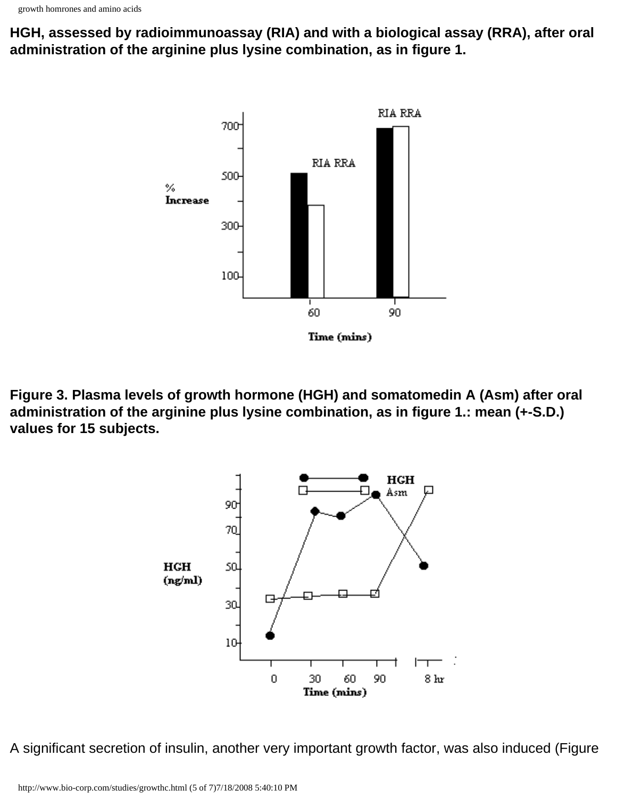**HGH, assessed by radioimmunoassay (RIA) and with a biological assay (RRA), after oral administration of the arginine plus lysine combination, as in figure 1.**



**Figure 3. Plasma levels of growth hormone (HGH) and somatomedin A (Asm) after oral administration of the arginine plus lysine combination, as in figure 1.: mean (+-S.D.) values for 15 subjects.**



A significant secretion of insulin, another very important growth factor, was also induced (Figure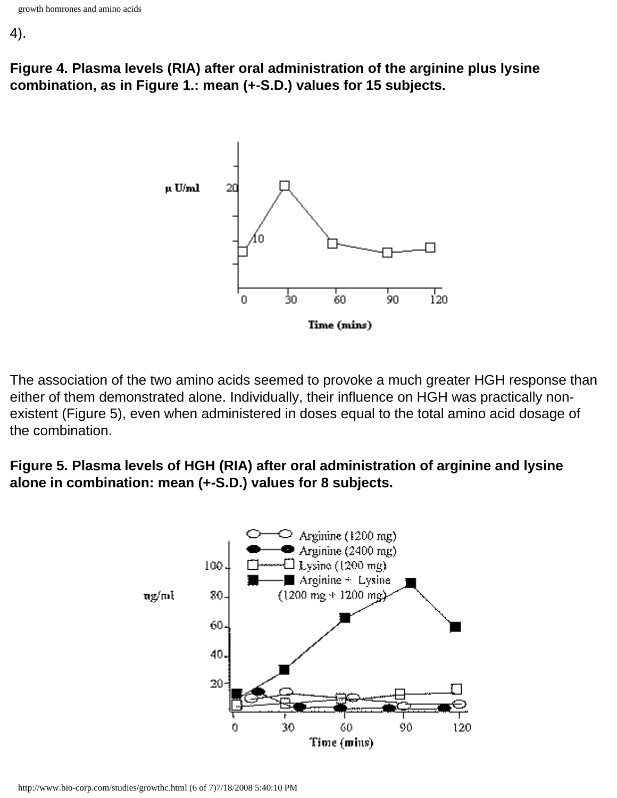4).

**Figure 4. Plasma levels (RIA) after oral administration of the arginine plus lysine combination, as in Figure 1.: mean (+-S.D.) values for 15 subjects.**



The association of the two amino acids seemed to provoke a much greater HGH response than either of them demonstrated alone. Individually, their influence on HGH was practically nonexistent (Figure 5), even when administered in doses equal to the total amino acid dosage of the combination.

**Figure 5. Plasma levels of HGH (RIA) after oral administration of arginine and lysine alone in combination: mean (+-S.D.) values for 8 subjects.**